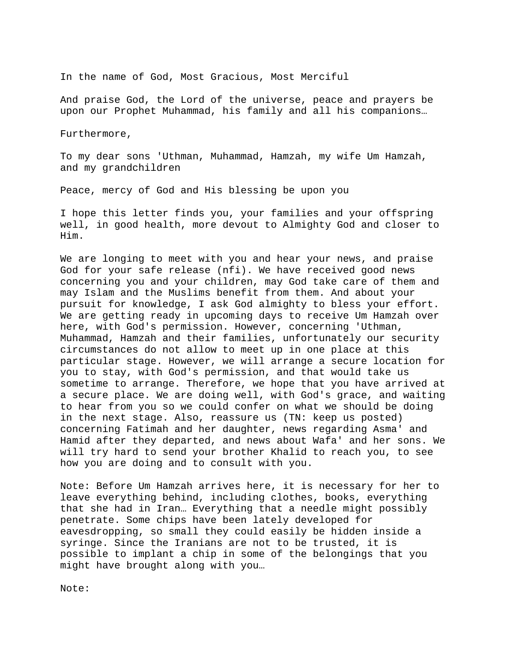In the name of God, Most Gracious, Most Merciful

And praise God, the Lord of the universe, peace and prayers be upon our Prophet Muhammad, his family and all his companions…

Furthermore,

To my dear sons 'Uthman, Muhammad, Hamzah, my wife Um Hamzah, and my grandchildren

Peace, mercy of God and His blessing be upon you

I hope this letter finds you, your families and your offspring well, in good health, more devout to Almighty God and closer to Him.

We are longing to meet with you and hear your news, and praise God for your safe release (nfi). We have received good news concerning you and your children, may God take care of them and may Islam and the Muslims benefit from them. And about your pursuit for knowledge, I ask God almighty to bless your effort. We are getting ready in upcoming days to receive Um Hamzah over here, with God's permission. However, concerning 'Uthman, Muhammad, Hamzah and their families, unfortunately our security circumstances do not allow to meet up in one place at this particular stage. However, we will arrange a secure location for you to stay, with God's permission, and that would take us sometime to arrange. Therefore, we hope that you have arrived at a secure place. We are doing well, with God's grace, and waiting to hear from you so we could confer on what we should be doing in the next stage. Also, reassure us (TN: keep us posted) concerning Fatimah and her daughter, news regarding Asma' and Hamid after they departed, and news about Wafa' and her sons. We will try hard to send your brother Khalid to reach you, to see how you are doing and to consult with you.

Note: Before Um Hamzah arrives here, it is necessary for her to leave everything behind, including clothes, books, everything that she had in Iran… Everything that a needle might possibly penetrate. Some chips have been lately developed for eavesdropping, so small they could easily be hidden inside a syringe. Since the Iranians are not to be trusted, it is possible to implant a chip in some of the belongings that you might have brought along with you…

Note: